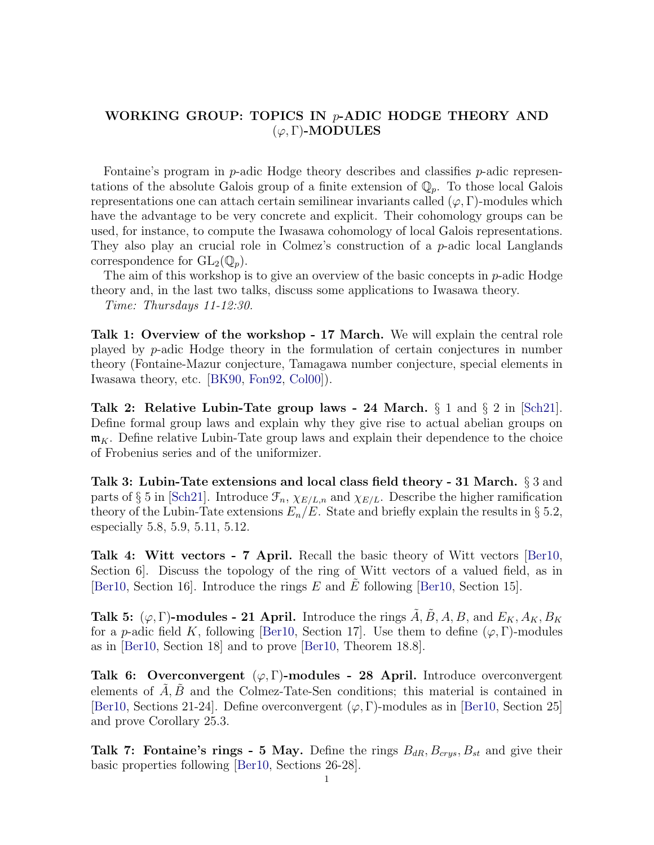## WORKING GROUP: TOPICS IN p-ADIC HODGE THEORY AND  $(\varphi, \Gamma)$ -MODULES

Fontaine's program in p-adic Hodge theory describes and classifies p-adic representations of the absolute Galois group of a finite extension of  $\mathbb{Q}_p$ . To those local Galois representations one can attach certain semilinear invariants called  $(\varphi, \Gamma)$ -modules which have the advantage to be very concrete and explicit. Their cohomology groups can be used, for instance, to compute the Iwasawa cohomology of local Galois representations. They also play an crucial role in Colmez's construction of a p-adic local Langlands correspondence for  $GL_2(\mathbb{Q}_n)$ .

The aim of this workshop is to give an overview of the basic concepts in  $p$ -adic Hodge theory and, in the last two talks, discuss some applications to Iwasawa theory.

Time: Thursdays 11-12:30.

Talk 1: Overview of the workshop - 17 March. We will explain the central role played by p-adic Hodge theory in the formulation of certain conjectures in number theory (Fontaine-Mazur conjecture, Tamagawa number conjecture, special elements in Iwasawa theory, etc. [\[BK90,](#page-1-0) [Fon92,](#page-1-1) [Col00\]](#page-1-2)).

Talk 2: Relative Lubin-Tate group laws - 24 March.  $\S 1$  and  $\S 2$  in [\[Sch21\]](#page-1-3). Define formal group laws and explain why they give rise to actual abelian groups on  $\mathfrak{m}_K$ . Define relative Lubin-Tate group laws and explain their dependence to the choice of Frobenius series and of the uniformizer.

Talk 3: Lubin-Tate extensions and local class field theory - 31 March.  $\S 3$  and parts of § 5 in [\[Sch21\]](#page-1-3). Introduce  $\mathcal{F}_n$ ,  $\chi_{E/L,n}$  and  $\chi_{E/L}$ . Describe the higher ramification theory of the Lubin-Tate extensions  $E_n/E$ . State and briefly explain the results in § 5.2, especially 5.8, 5.9, 5.11, 5.12.

Talk 4: Witt vectors - 7 April. Recall the basic theory of Witt vectors [\[Ber10,](#page-1-4) Section 6]. Discuss the topology of the ring of Witt vectors of a valued field, as in [\[Ber10,](#page-1-4) Section 16]. Introduce the rings  $E$  and  $E$  following [\[Ber10,](#page-1-4) Section 15].

Talk 5:  $(\varphi, \Gamma)$ -modules - 21 April. Introduce the rings  $\tilde{A}, \tilde{B}, A, B$ , and  $E_K, A_K, B_K$ for a p-adic field K, following [\[Ber10,](#page-1-4) Section 17]. Use them to define  $(\varphi, \Gamma)$ -modules as in [\[Ber10,](#page-1-4) Section 18] and to prove [\[Ber10,](#page-1-4) Theorem 18.8].

Talk 6: Overconvergent  $(\varphi, \Gamma)$ -modules - 28 April. Introduce overconvergent elements of  $A, B$  and the Colmez-Tate-Sen conditions; this material is contained in [\[Ber10,](#page-1-4) Sections 21-24]. Define overconvergent  $(\varphi, \Gamma)$ -modules as in [\[Ber10,](#page-1-4) Section 25] and prove Corollary 25.3.

**Talk 7: Fontaine's rings - 5 May.** Define the rings  $B_{dR}$ ,  $B_{crys}$ ,  $B_{st}$  and give their basic properties following [\[Ber10,](#page-1-4) Sections 26-28].